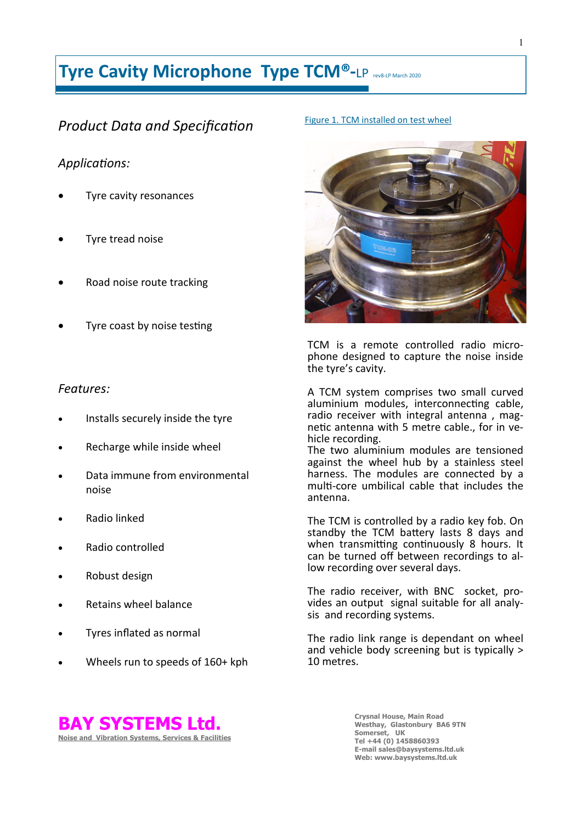# **Tyre Cavity Microphone Type TCM®**-LP rev8-LP March 2020

# *Product Data and Specification*

### *Applications:*

- Tyre cavity resonances
- Tyre tread noise
- Road noise route tracking
- Tyre coast by noise testing

### *Features:*

- Installs securely inside the tyre
- Recharge while inside wheel
- Data immune from environmental noise
- Radio linked
- Radio controlled
- Robust design
- Retains wheel balance
- Tyres inflated as normal
- Wheels run to speeds of 160+ kph

#### Figure 1. TCM installed on test wheel



TCM is a remote controlled radio microphone designed to capture the noise inside the tyre's cavity.

A TCM system comprises two small curved aluminium modules, interconnecting cable, radio receiver with integral antenna, magnetic antenna with 5 metre cable., for in vehicle recording.

The two aluminium modules are tensioned against the wheel hub by a stainless steel harness. The modules are connected by a multi-core umbilical cable that includes the antenna.

The TCM is controlled by a radio key fob. On standby the TCM battery lasts 8 days and when transmitting continuously 8 hours. It can be turned off between recordings to allow recording over several days.

The radio receiver, with BNC socket, provides an output signal suitable for all analysis and recording systems.

The radio link range is dependant on wheel and vehicle body screening but is typically > 10 metres.



**Crysnal House, Main Road Westhay, Glastonbury BA6 9TN Somerset, UK Tel +44 (0) 1458860393 E-mail sales@baysystems.ltd.uk Web: www.baysystems.ltd.uk**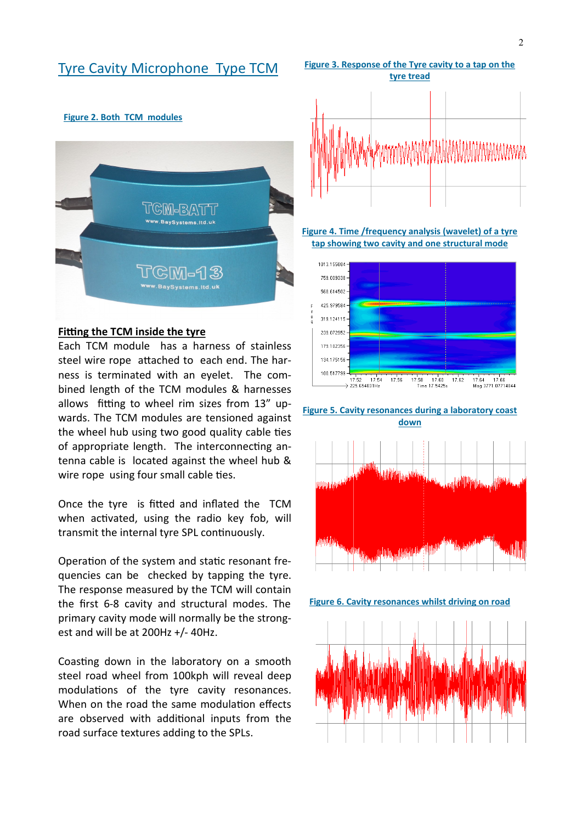### Tyre Cavity Microphone Type TCM

#### **Figure 2. Both TCM modules**



#### **Fitting the TCM inside the tyre**

Each TCM module has a harness of stainless steel wire rope attached to each end. The harness is terminated with an eyelet. The combined length of the TCM modules & harnesses allows fitting to wheel rim sizes from 13" upwards. The TCM modules are tensioned against the wheel hub using two good quality cable ties of appropriate length. The interconnecting antenna cable is located against the wheel hub & wire rope using four small cable ties.

Once the tyre is fitted and inflated the TCM when activated, using the radio key fob, will transmit the internal tyre SPL continuously.

Operation of the system and static resonant frequencies can be checked by tapping the tyre. The response measured by the TCM will contain the first 6-8 cavity and structural modes. The primary cavity mode will normally be the strongest and will be at 200Hz +/- 40Hz.

Coasting down in the laboratory on a smooth steel road wheel from 100kph will reveal deep modulations of the tyre cavity resonances. When on the road the same modulation effects are observed with additional inputs from the road surface textures adding to the SPLs.



**Figure 4. Time /frequency analysis (wavelet) of a tyre tap showing two cavity and one structural mode**



**Figure 5. Cavity resonances during a laboratory coast down**



**Figure 6. Cavity resonances whilst driving on road**

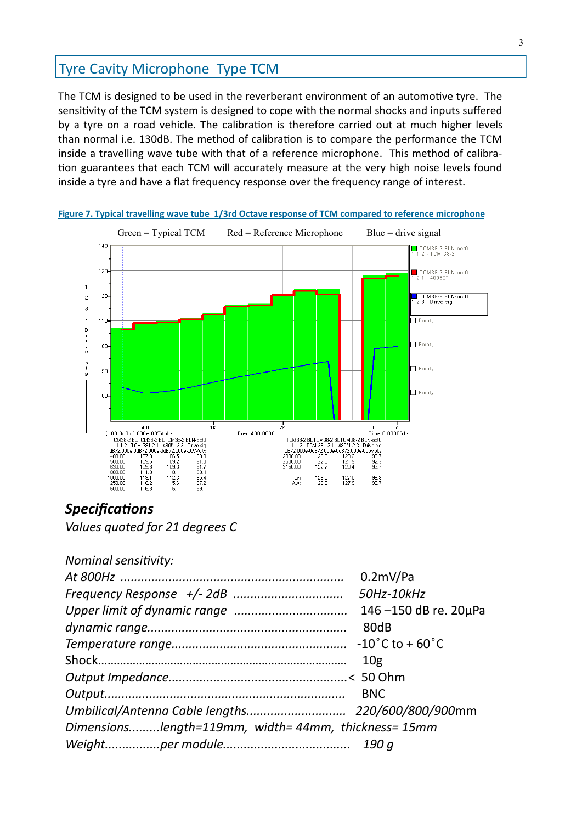# Tyre Cavity Microphone Type TCM

The TCM is designed to be used in the reverberant environment of an automotive tyre. The sensitivity of the TCM system is designed to cope with the normal shocks and inputs suffered by a tyre on a road vehicle. The calibration is therefore carried out at much higher levels than normal i.e. 130dB. The method of calibration is to compare the performance the TCM inside a travelling wave tube with that of a reference microphone. This method of calibration guarantees that each TCM will accurately measure at the very high noise levels found inside a tyre and have a flat frequency response over the frequency range of interest.



**Figure 7. Typical travelling wave tube 1/3rd Octave response of TCM compared to reference microphone**

### *Specifications*

*Values quoted for 21 degrees C*

*Nominal sensitivity:*

|                                                    | $0.2$ mV/Pa          |
|----------------------------------------------------|----------------------|
|                                                    |                      |
|                                                    | 146-150 dB re. 20µPa |
|                                                    | 80dB                 |
|                                                    |                      |
|                                                    | 10 <sub>g</sub>      |
|                                                    |                      |
|                                                    | <b>BNC</b>           |
|                                                    |                      |
| Dimensionslength=119mm, width=44mm, thickness=15mm |                      |
|                                                    |                      |